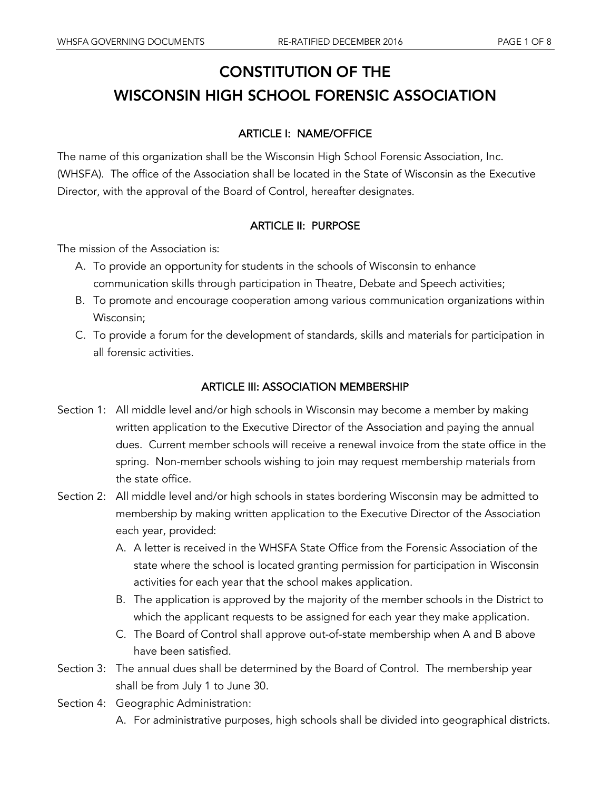# CONSTITUTION OF THE WISCONSIN HIGH SCHOOL FORENSIC ASSOCIATION

# ARTICLE I: NAME/OFFICE

The name of this organization shall be the Wisconsin High School Forensic Association, Inc. (WHSFA). The office of the Association shall be located in the State of Wisconsin as the Executive Director, with the approval of the Board of Control, hereafter designates.

# ARTICLE II: PURPOSE

The mission of the Association is:

- A. To provide an opportunity for students in the schools of Wisconsin to enhance communication skills through participation in Theatre, Debate and Speech activities;
- B. To promote and encourage cooperation among various communication organizations within Wisconsin;
- C. To provide a forum for the development of standards, skills and materials for participation in all forensic activities.

#### ARTICLE III: ASSOCIATION MEMBERSHIP

- Section 1: All middle level and/or high schools in Wisconsin may become a member by making written application to the Executive Director of the Association and paying the annual dues. Current member schools will receive a renewal invoice from the state office in the spring. Non-member schools wishing to join may request membership materials from the state office.
- Section 2: All middle level and/or high schools in states bordering Wisconsin may be admitted to membership by making written application to the Executive Director of the Association each year, provided:
	- A. A letter is received in the WHSFA State Office from the Forensic Association of the state where the school is located granting permission for participation in Wisconsin activities for each year that the school makes application.
	- B. The application is approved by the majority of the member schools in the District to which the applicant requests to be assigned for each year they make application.
	- C. The Board of Control shall approve out-of-state membership when A and B above have been satisfied.
- Section 3: The annual dues shall be determined by the Board of Control. The membership year shall be from July 1 to June 30.
- Section 4: Geographic Administration: A. For administrative purposes, high schools shall be divided into geographical districts.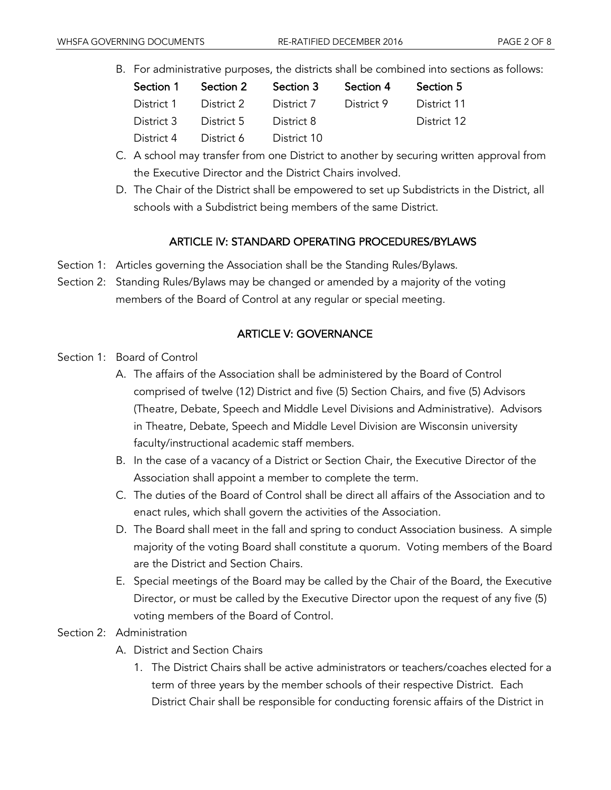B. For administrative purposes, the districts shall be combined into sections as follows:

| Section 1  | Section 2  | Section 3   | Section 4  | Section 5   |
|------------|------------|-------------|------------|-------------|
| District 1 | District 2 | District 7  | District 9 | District 11 |
| District 3 | District 5 | District 8  |            | District 12 |
| District 4 | District 6 | District 10 |            |             |

- C. A school may transfer from one District to another by securing written approval from the Executive Director and the District Chairs involved.
- D. The Chair of the District shall be empowered to set up Subdistricts in the District, all schools with a Subdistrict being members of the same District.

# ARTICLE IV: STANDARD OPERATING PROCEDURES/BYLAWS

- Section 1: Articles governing the Association shall be the Standing Rules/Bylaws.
- Section 2: Standing Rules/Bylaws may be changed or amended by a majority of the voting members of the Board of Control at any regular or special meeting.

# ARTICLE V: GOVERNANCE

- Section 1: Board of Control
	- A. The affairs of the Association shall be administered by the Board of Control comprised of twelve (12) District and five (5) Section Chairs, and five (5) Advisors (Theatre, Debate, Speech and Middle Level Divisions and Administrative). Advisors in Theatre, Debate, Speech and Middle Level Division are Wisconsin university faculty/instructional academic staff members.
	- B. In the case of a vacancy of a District or Section Chair, the Executive Director of the Association shall appoint a member to complete the term.
	- C. The duties of the Board of Control shall be direct all affairs of the Association and to enact rules, which shall govern the activities of the Association.
	- D. The Board shall meet in the fall and spring to conduct Association business. A simple majority of the voting Board shall constitute a quorum. Voting members of the Board are the District and Section Chairs.
	- E. Special meetings of the Board may be called by the Chair of the Board, the Executive Director, or must be called by the Executive Director upon the request of any five (5) voting members of the Board of Control.

## Section 2: Administration

- A. District and Section Chairs
	- 1. The District Chairs shall be active administrators or teachers/coaches elected for a term of three years by the member schools of their respective District. Each District Chair shall be responsible for conducting forensic affairs of the District in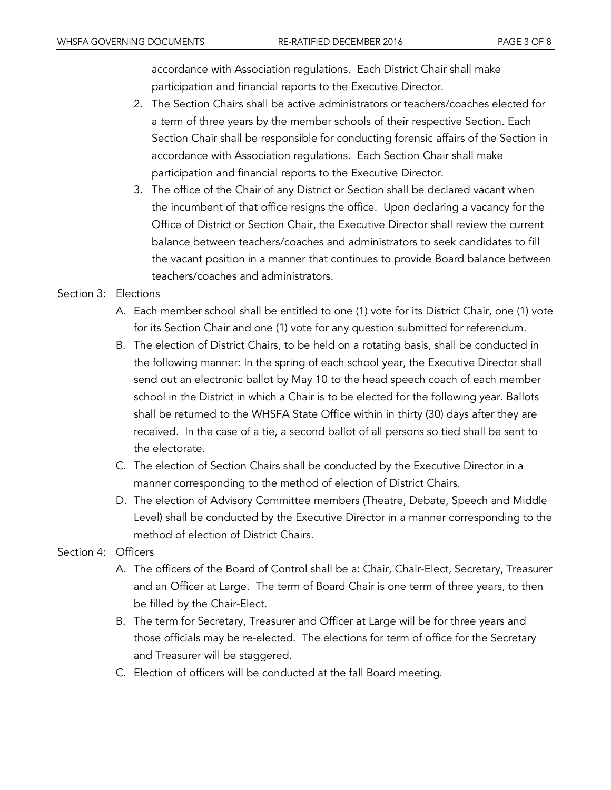accordance with Association regulations. Each District Chair shall make participation and financial reports to the Executive Director.

- 2. The Section Chairs shall be active administrators or teachers/coaches elected for a term of three years by the member schools of their respective Section. Each Section Chair shall be responsible for conducting forensic affairs of the Section in accordance with Association regulations. Each Section Chair shall make participation and financial reports to the Executive Director.
- 3. The office of the Chair of any District or Section shall be declared vacant when the incumbent of that office resigns the office. Upon declaring a vacancy for the Office of District or Section Chair, the Executive Director shall review the current balance between teachers/coaches and administrators to seek candidates to fill the vacant position in a manner that continues to provide Board balance between teachers/coaches and administrators.

#### Section 3: Elections

- A. Each member school shall be entitled to one (1) vote for its District Chair, one (1) vote for its Section Chair and one (1) vote for any question submitted for referendum.
- B. The election of District Chairs, to be held on a rotating basis, shall be conducted in the following manner: In the spring of each school year, the Executive Director shall send out an electronic ballot by May 10 to the head speech coach of each member school in the District in which a Chair is to be elected for the following year. Ballots shall be returned to the WHSFA State Office within in thirty (30) days after they are received. In the case of a tie, a second ballot of all persons so tied shall be sent to the electorate.
- C. The election of Section Chairs shall be conducted by the Executive Director in a manner corresponding to the method of election of District Chairs.
- D. The election of Advisory Committee members (Theatre, Debate, Speech and Middle Level) shall be conducted by the Executive Director in a manner corresponding to the method of election of District Chairs.

#### Section 4: Officers

- A. The officers of the Board of Control shall be a: Chair, Chair-Elect, Secretary, Treasurer and an Officer at Large. The term of Board Chair is one term of three years, to then be filled by the Chair-Elect.
- B. The term for Secretary, Treasurer and Officer at Large will be for three years and those officials may be re-elected. The elections for term of office for the Secretary and Treasurer will be staggered.
- C. Election of officers will be conducted at the fall Board meeting.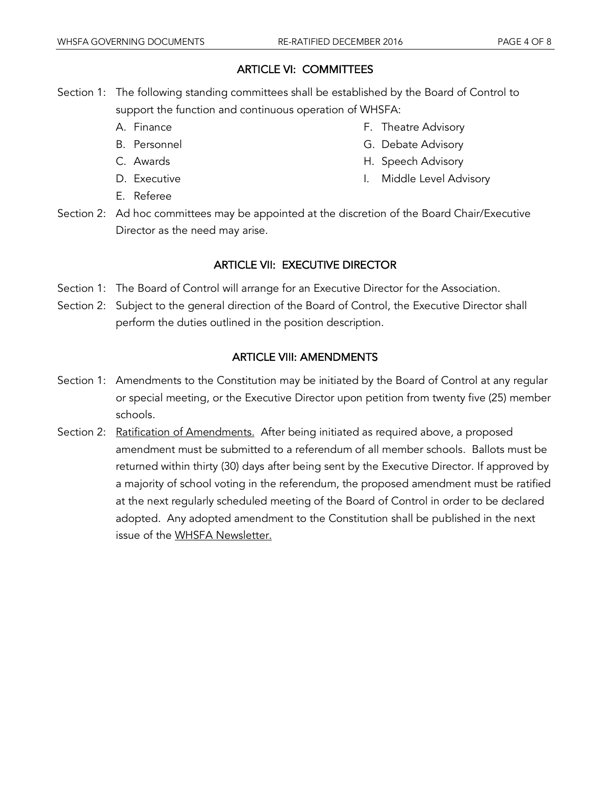#### ARTICLE VI: COMMITTEES

- Section 1: The following standing committees shall be established by the Board of Control to support the function and continuous operation of WHSFA:
	- A. Finance
	- B. Personnel
	- C. Awards
	- D. Executive
- F. Theatre Advisory G. Debate Advisory
- H. Speech Advisory
- I. Middle Level Advisory

- E. Referee
- Section 2: Ad hoc committees may be appointed at the discretion of the Board Chair/Executive Director as the need may arise.

## ARTICLE VII: EXECUTIVE DIRECTOR

- Section 1: The Board of Control will arrange for an Executive Director for the Association.
- Section 2: Subject to the general direction of the Board of Control, the Executive Director shall perform the duties outlined in the position description.

#### ARTICLE VIII: AMENDMENTS

- Section 1: Amendments to the Constitution may be initiated by the Board of Control at any regular or special meeting, or the Executive Director upon petition from twenty five (25) member schools.
- Section 2: Ratification of Amendments. After being initiated as required above, a proposed amendment must be submitted to a referendum of all member schools. Ballots must be returned within thirty (30) days after being sent by the Executive Director. If approved by a majority of school voting in the referendum, the proposed amendment must be ratified at the next regularly scheduled meeting of the Board of Control in order to be declared adopted. Any adopted amendment to the Constitution shall be published in the next issue of the WHSFA Newsletter.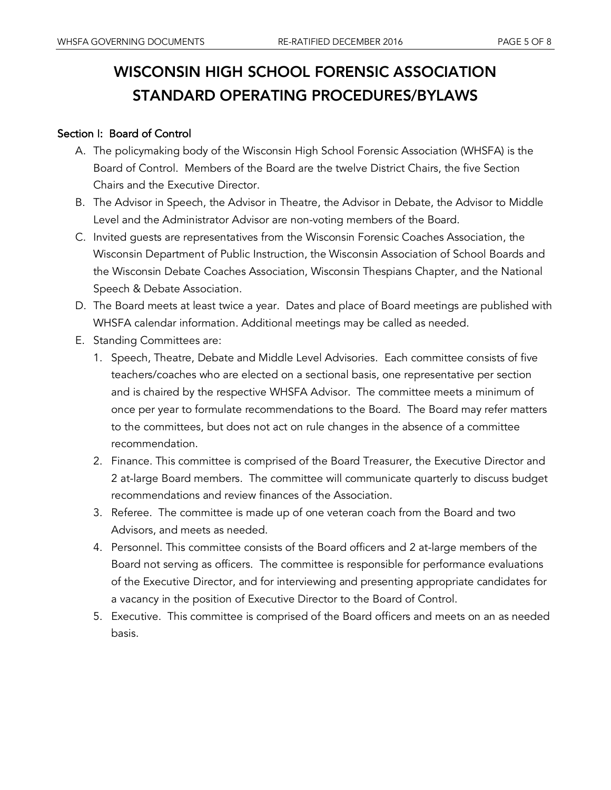# WISCONSIN HIGH SCHOOL FORENSIC ASSOCIATION STANDARD OPERATING PROCEDURES/BYLAWS

#### Section I: Board of Control

- A. The policymaking body of the Wisconsin High School Forensic Association (WHSFA) is the Board of Control. Members of the Board are the twelve District Chairs, the five Section Chairs and the Executive Director.
- B. The Advisor in Speech, the Advisor in Theatre, the Advisor in Debate, the Advisor to Middle Level and the Administrator Advisor are non-voting members of the Board.
- C. Invited guests are representatives from the Wisconsin Forensic Coaches Association, the Wisconsin Department of Public Instruction, the Wisconsin Association of School Boards and the Wisconsin Debate Coaches Association, Wisconsin Thespians Chapter, and the National Speech & Debate Association.
- D. The Board meets at least twice a year. Dates and place of Board meetings are published with WHSFA calendar information. Additional meetings may be called as needed.
- E. Standing Committees are:
	- 1. Speech, Theatre, Debate and Middle Level Advisories. Each committee consists of five teachers/coaches who are elected on a sectional basis, one representative per section and is chaired by the respective WHSFA Advisor. The committee meets a minimum of once per year to formulate recommendations to the Board. The Board may refer matters to the committees, but does not act on rule changes in the absence of a committee recommendation.
	- 2. Finance. This committee is comprised of the Board Treasurer, the Executive Director and 2 at-large Board members. The committee will communicate quarterly to discuss budget recommendations and review finances of the Association.
	- 3. Referee. The committee is made up of one veteran coach from the Board and two Advisors, and meets as needed.
	- 4. Personnel. This committee consists of the Board officers and 2 at-large members of the Board not serving as officers. The committee is responsible for performance evaluations of the Executive Director, and for interviewing and presenting appropriate candidates for a vacancy in the position of Executive Director to the Board of Control.
	- 5. Executive. This committee is comprised of the Board officers and meets on an as needed basis.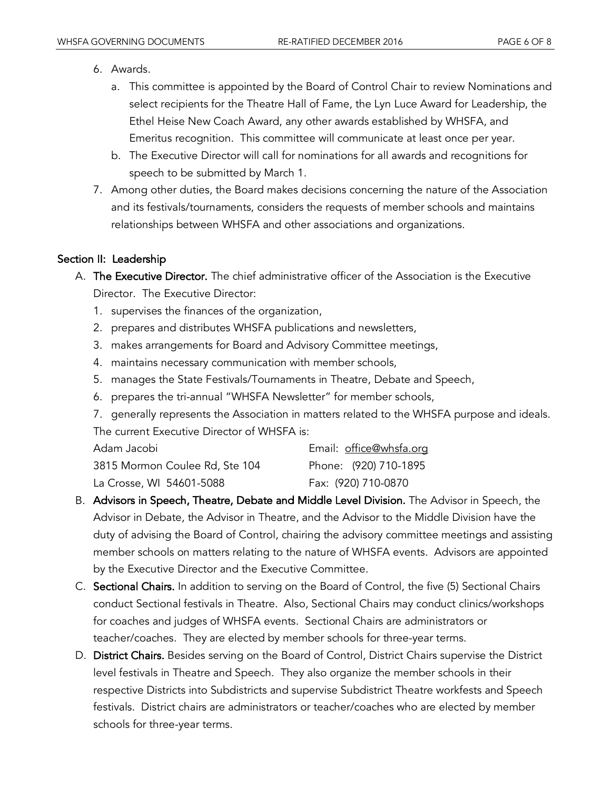- 6. Awards.
	- a. This committee is appointed by the Board of Control Chair to review Nominations and select recipients for the Theatre Hall of Fame, the Lyn Luce Award for Leadership, the Ethel Heise New Coach Award, any other awards established by WHSFA, and Emeritus recognition. This committee will communicate at least once per year.
	- b. The Executive Director will call for nominations for all awards and recognitions for speech to be submitted by March 1.
- 7. Among other duties, the Board makes decisions concerning the nature of the Association and its festivals/tournaments, considers the requests of member schools and maintains relationships between WHSFA and other associations and organizations.

#### Section II: Leadership

- A. The Executive Director. The chief administrative officer of the Association is the Executive Director. The Executive Director:
	- 1. supervises the finances of the organization,
	- 2. prepares and distributes WHSFA publications and newsletters,
	- 3. makes arrangements for Board and Advisory Committee meetings,
	- 4. maintains necessary communication with member schools,
	- 5. manages the State Festivals/Tournaments in Theatre, Debate and Speech,
	- 6. prepares the tri-annual "WHSFA Newsletter" for member schools,
	- 7. generally represents the Association in matters related to the WHSFA purpose and ideals. The current Executive Director of WHSFA is:

| Adam Jacobi                    | Email: office@whsfa.org |
|--------------------------------|-------------------------|
| 3815 Mormon Coulee Rd, Ste 104 | Phone: (920) 710-1895   |
| La Crosse, WI 54601-5088       | Fax: (920) 710-0870     |

- B. Advisors in Speech, Theatre, Debate and Middle Level Division. The Advisor in Speech, the Advisor in Debate, the Advisor in Theatre, and the Advisor to the Middle Division have the duty of advising the Board of Control, chairing the advisory committee meetings and assisting member schools on matters relating to the nature of WHSFA events. Advisors are appointed by the Executive Director and the Executive Committee.
- C. Sectional Chairs. In addition to serving on the Board of Control, the five (5) Sectional Chairs conduct Sectional festivals in Theatre. Also, Sectional Chairs may conduct clinics/workshops for coaches and judges of WHSFA events. Sectional Chairs are administrators or teacher/coaches. They are elected by member schools for three-year terms.
- D. District Chairs. Besides serving on the Board of Control, District Chairs supervise the District level festivals in Theatre and Speech. They also organize the member schools in their respective Districts into Subdistricts and supervise Subdistrict Theatre workfests and Speech festivals. District chairs are administrators or teacher/coaches who are elected by member schools for three-year terms.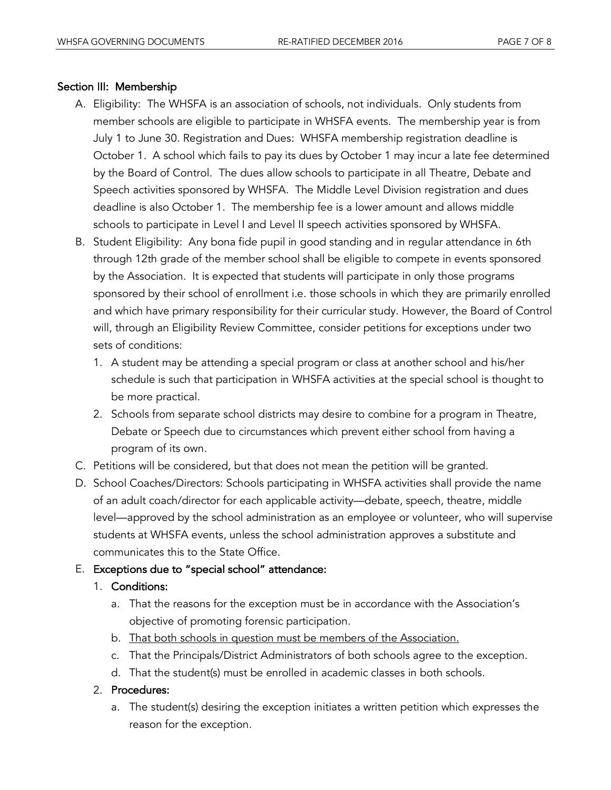# Section III: Membership

- A. Eligibility: The WHSFA is an association of schools, not individuals. Only students from member schools are eligible to participate in WHSFA events. The membership year is from July 1 to June 30. Registration and Dues: WHSFA membership registration deadline is October 1. A school which fails to pay its dues by October 1 may incur a late fee determined by the Board of Control. The dues allow schools to participate in all Theatre, Debate and Speech activities sponsored by WHSFA. The Middle Level Division registration and dues deadline is also October 1. The membership fee is a lower amount and allows middle schools to participate in Level I and Level II speech activities sponsored by WHSFA.
- B. Student Eligibility: Any bona fide pupil in good standing and in regular attendance in 6th through 12th grade of the member school shall be eligible to compete in events sponsored by the Association. It is expected that students will participate in only those programs sponsored by their school of enrollment i.e. those schools in which they are primarily enrolled and which have primary responsibility for their curricular study. However, the Board of Control will, through an Eligibility Review Committee, consider petitions for exceptions under two sets of conditions:
	- 1. A student may be attending a special program or class at another school and his/her schedule is such that participation in WHSFA activities at the special school is thought to be more practical.
	- 2. Schools from separate school districts may desire to combine for a program in Theatre, Debate or Speech due to circumstances which prevent either school from having a program of its own.
- C. Petitions will be considered, but that does not mean the petition will be granted.
- D. School Coaches/Directors: Schools participating in WHSFA activities shall provide the name of an adult coach/director for each applicable activity—debate, speech, theatre, middle level—approved by the school administration as an employee or volunteer, who will supervise students at WHSFA events, unless the school administration approves a substitute and communicates this to the State Office.

# E. Exceptions due to "special school" attendance:

## 1. Conditions:

- a. That the reasons for the exception must be in accordance with the Association's objective of promoting forensic participation.
- b. That both schools in question must be members of the Association.
- c. That the Principals/District Administrators of both schools agree to the exception.
- d. That the student(s) must be enrolled in academic classes in both schools.

## 2. Procedures:

a. The student(s) desiring the exception initiates a written petition which expresses the reason for the exception.